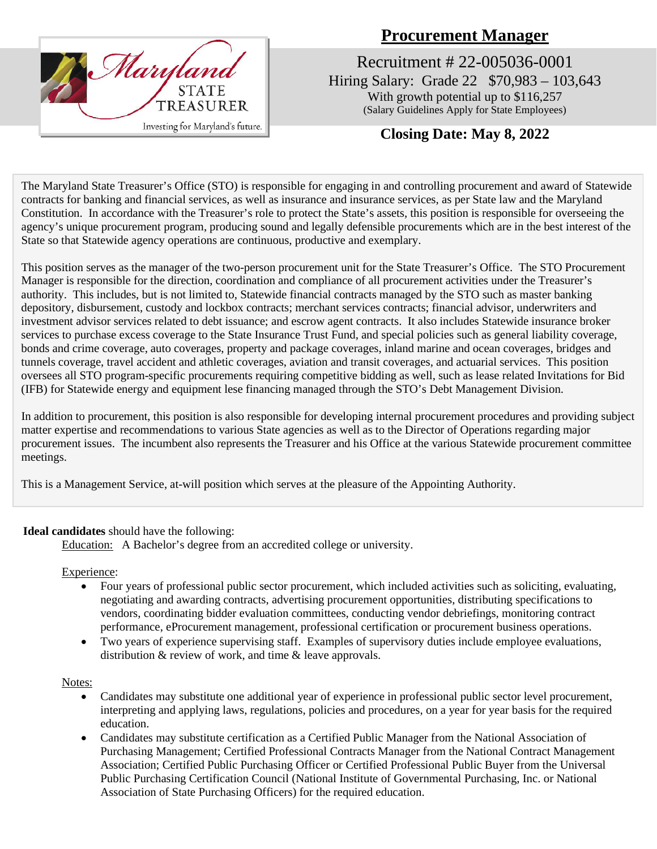

# **Procurement Manager**

Recruitment # 22-005036-0001 Hiring Salary: Grade 22 \$70,983 – 103,643 With growth potential up to \$116,257 (Salary Guidelines Apply for State Employees)

# **Closing Date: May 8, 2022**

The Maryland State Treasurer's Office (STO) is responsible for engaging in and controlling procurement and award of Statewide contracts for banking and financial services, as well as insurance and insurance services, as per State law and the Maryland Constitution. In accordance with the Treasurer's role to protect the State's assets, this position is responsible for overseeing the agency's unique procurement program, producing sound and legally defensible procurements which are in the best interest of the State so that Statewide agency operations are continuous, productive and exemplary.

This position serves as the manager of the two-person procurement unit for the State Treasurer's Office. The STO Procurement Manager is responsible for the direction, coordination and compliance of all procurement activities under the Treasurer's authority. This includes, but is not limited to, Statewide financial contracts managed by the STO such as master banking depository, disbursement, custody and lockbox contracts; merchant services contracts; financial advisor, underwriters and investment advisor services related to debt issuance; and escrow agent contracts. It also includes Statewide insurance broker services to purchase excess coverage to the State Insurance Trust Fund, and special policies such as general liability coverage, bonds and crime coverage, auto coverages, property and package coverages, inland marine and ocean coverages, bridges and tunnels coverage, travel accident and athletic coverages, aviation and transit coverages, and actuarial services. This position oversees all STO program-specific procurements requiring competitive bidding as well, such as lease related Invitations for Bid (IFB) for Statewide energy and equipment lese financing managed through the STO's Debt Management Division.

In addition to procurement, this position is also responsible for developing internal procurement procedures and providing subject matter expertise and recommendations to various State agencies as well as to the Director of Operations regarding major procurement issues. The incumbent also represents the Treasurer and his Office at the various Statewide procurement committee meetings.

This is a Management Service, at-will position which serves at the pleasure of the Appointing Authority.

#### **Ideal candidates** should have the following:

Education: A Bachelor's degree from an accredited college or university.

Experience:

- Four years of professional public sector procurement, which included activities such as soliciting, evaluating, negotiating and awarding contracts, advertising procurement opportunities, distributing specifications to vendors, coordinating bidder evaluation committees, conducting vendor debriefings, monitoring contract performance, eProcurement management, professional certification or procurement business operations.
- Two years of experience supervising staff. Examples of supervisory duties include employee evaluations, distribution & review of work, and time & leave approvals.

#### Notes:

- Candidates may substitute one additional year of experience in professional public sector level procurement, interpreting and applying laws, regulations, policies and procedures, on a year for year basis for the required education.
- Candidates may substitute certification as a Certified Public Manager from the National Association of Purchasing Management; Certified Professional Contracts Manager from the National Contract Management Association; Certified Public Purchasing Officer or Certified Professional Public Buyer from the Universal Public Purchasing Certification Council (National Institute of Governmental Purchasing, Inc. or National Association of State Purchasing Officers) for the required education.